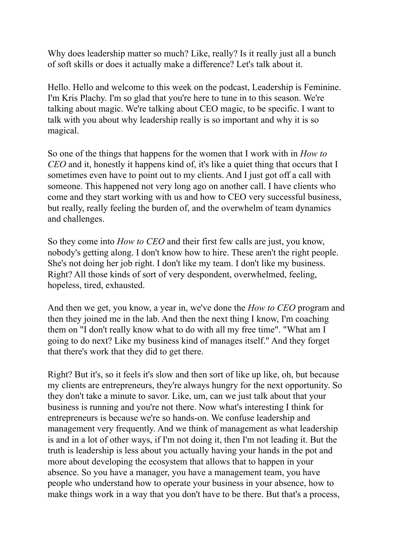Why does leadership matter so much? Like, really? Is it really just all a bunch of soft skills or does it actually make a difference? Let's talk about it.

Hello. Hello and welcome to this week on the podcast, Leadership is Feminine. I'm Kris Plachy. I'm so glad that you're here to tune in to this season. We're talking about magic. We're talking about CEO magic, to be specific. I want to talk with you about why leadership really is so important and why it is so magical.

So one of the things that happens for the women that I work with in *How to CEO* and it, honestly it happens kind of, it's like a quiet thing that occurs that I sometimes even have to point out to my clients. And I just got off a call with someone. This happened not very long ago on another call. I have clients who come and they start working with us and how to CEO very successful business, but really, really feeling the burden of, and the overwhelm of team dynamics and challenges.

So they come into *How to CEO* and their first few calls are just, you know, nobody's getting along. I don't know how to hire. These aren't the right people. She's not doing her job right. I don't like my team. I don't like my business. Right? All those kinds of sort of very despondent, overwhelmed, feeling, hopeless, tired, exhausted.

And then we get, you know, a year in, we've done the *How to CEO* program and then they joined me in the lab. And then the next thing I know, I'm coaching them on "I don't really know what to do with all my free time". "What am I going to do next? Like my business kind of manages itself." And they forget that there's work that they did to get there.

Right? But it's, so it feels it's slow and then sort of like up like, oh, but because my clients are entrepreneurs, they're always hungry for the next opportunity. So they don't take a minute to savor. Like, um, can we just talk about that your business is running and you're not there. Now what's interesting I think for entrepreneurs is because we're so hands-on. We confuse leadership and management very frequently. And we think of management as what leadership is and in a lot of other ways, if I'm not doing it, then I'm not leading it. But the truth is leadership is less about you actually having your hands in the pot and more about developing the ecosystem that allows that to happen in your absence. So you have a manager, you have a management team, you have people who understand how to operate your business in your absence, how to make things work in a way that you don't have to be there. But that's a process,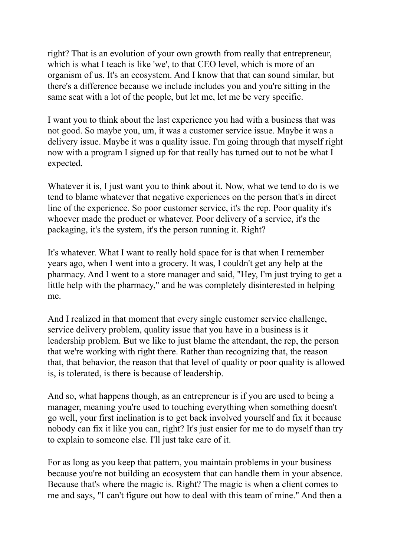right? That is an evolution of your own growth from really that entrepreneur, which is what I teach is like 'we', to that CEO level, which is more of an organism of us. It's an ecosystem. And I know that that can sound similar, but there's a difference because we include includes you and you're sitting in the same seat with a lot of the people, but let me, let me be very specific.

I want you to think about the last experience you had with a business that was not good. So maybe you, um, it was a customer service issue. Maybe it was a delivery issue. Maybe it was a quality issue. I'm going through that myself right now with a program I signed up for that really has turned out to not be what I expected.

Whatever it is, I just want you to think about it. Now, what we tend to do is we tend to blame whatever that negative experiences on the person that's in direct line of the experience. So poor customer service, it's the rep. Poor quality it's whoever made the product or whatever. Poor delivery of a service, it's the packaging, it's the system, it's the person running it. Right?

It's whatever. What I want to really hold space for is that when I remember years ago, when I went into a grocery. It was, I couldn't get any help at the pharmacy. And I went to a store manager and said, "Hey, I'm just trying to get a little help with the pharmacy," and he was completely disinterested in helping me.

And I realized in that moment that every single customer service challenge, service delivery problem, quality issue that you have in a business is it leadership problem. But we like to just blame the attendant, the rep, the person that we're working with right there. Rather than recognizing that, the reason that, that behavior, the reason that that level of quality or poor quality is allowed is, is tolerated, is there is because of leadership.

And so, what happens though, as an entrepreneur is if you are used to being a manager, meaning you're used to touching everything when something doesn't go well, your first inclination is to get back involved yourself and fix it because nobody can fix it like you can, right? It's just easier for me to do myself than try to explain to someone else. I'll just take care of it.

For as long as you keep that pattern, you maintain problems in your business because you're not building an ecosystem that can handle them in your absence. Because that's where the magic is. Right? The magic is when a client comes to me and says, "I can't figure out how to deal with this team of mine." And then a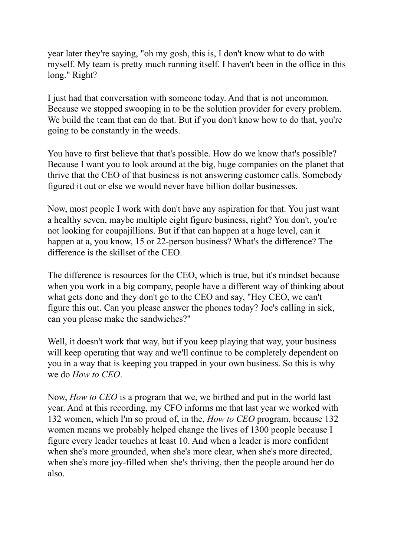year later they're saying, "oh my gosh, this is, I don't know what to do with myself. My team is pretty much running itself. I haven't been in the office in this long." Right?

I just had that conversation with someone today. And that is not uncommon. Because we stopped swooping in to be the solution provider for every problem. We build the team that can do that. But if you don't know how to do that, you're going to be constantly in the weeds.

You have to first believe that that's possible. How do we know that's possible? Because I want you to look around at the big, huge companies on the planet that thrive that the CEO of that business is not answering customer calls. Somebody figured it out or else we would never have billion dollar businesses.

Now, most people I work with don't have any aspiration for that. You just want a healthy seven, maybe multiple eight figure business, right? You don't, you're not looking for coupajillions. But if that can happen at a huge level, can it happen at a, you know, 15 or 22-person business? What's the difference? The difference is the skillset of the CEO.

The difference is resources for the CEO, which is true, but it's mindset because when you work in a big company, people have a different way of thinking about what gets done and they don't go to the CEO and say, "Hey CEO, we can't figure this out. Can you please answer the phones today? Joe's calling in sick, can you please make the sandwiches?"

Well, it doesn't work that way, but if you keep playing that way, your business will keep operating that way and we'll continue to be completely dependent on you in a way that is keeping you trapped in your own business. So this is why we do *How to CEO*.

Now, *How to CEO* is a program that we, we birthed and put in the world last year. And at this recording, my CFO informs me that last year we worked with 132 women, which I'm so proud of, in the, *How to CEO* program, because 132 women means we probably helped change the lives of 1300 people because I figure every leader touches at least 10. And when a leader is more confident when she's more grounded, when she's more clear, when she's more directed, when she's more joy-filled when she's thriving, then the people around her do also.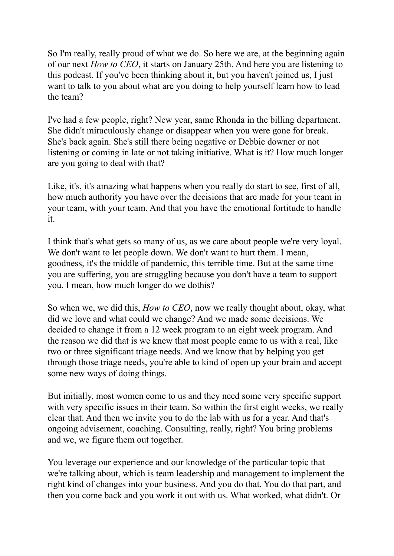So I'm really, really proud of what we do. So here we are, at the beginning again of our next *How to CEO*, it starts on January 25th. And here you are listening to this podcast. If you've been thinking about it, but you haven't joined us, I just want to talk to you about what are you doing to help yourself learn how to lead the team?

I've had a few people, right? New year, same Rhonda in the billing department. She didn't miraculously change or disappear when you were gone for break. She's back again. She's still there being negative or Debbie downer or not listening or coming in late or not taking initiative. What is it? How much longer are you going to deal with that?

Like, it's, it's amazing what happens when you really do start to see, first of all, how much authority you have over the decisions that are made for your team in your team, with your team. And that you have the emotional fortitude to handle it.

I think that's what gets so many of us, as we care about people we're very loyal. We don't want to let people down. We don't want to hurt them. I mean, goodness, it's the middle of pandemic, this terrible time. But at the same time you are suffering, you are struggling because you don't have a team to support you. I mean, how much longer do we dothis?

So when we, we did this, *How to CEO*, now we really thought about, okay, what did we love and what could we change? And we made some decisions. We decided to change it from a 12 week program to an eight week program. And the reason we did that is we knew that most people came to us with a real, like two or three significant triage needs. And we know that by helping you get through those triage needs, you're able to kind of open up your brain and accept some new ways of doing things.

But initially, most women come to us and they need some very specific support with very specific issues in their team. So within the first eight weeks, we really clear that. And then we invite you to do the lab with us for a year. And that's ongoing advisement, coaching. Consulting, really, right? You bring problems and we, we figure them out together.

You leverage our experience and our knowledge of the particular topic that we're talking about, which is team leadership and management to implement the right kind of changes into your business. And you do that. You do that part, and then you come back and you work it out with us. What worked, what didn't. Or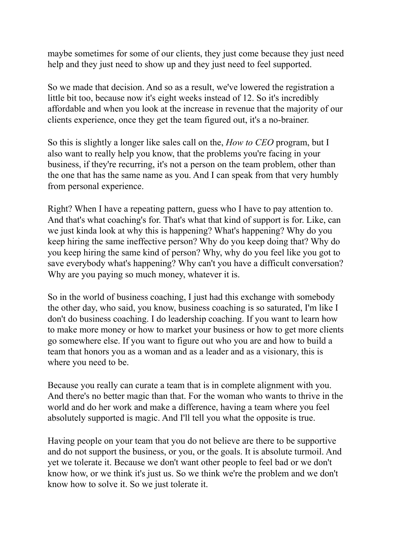maybe sometimes for some of our clients, they just come because they just need help and they just need to show up and they just need to feel supported.

So we made that decision. And so as a result, we've lowered the registration a little bit too, because now it's eight weeks instead of 12. So it's incredibly affordable and when you look at the increase in revenue that the majority of our clients experience, once they get the team figured out, it's a no-brainer.

So this is slightly a longer like sales call on the, *How to CEO* program, but I also want to really help you know, that the problems you're facing in your business, if they're recurring, it's not a person on the team problem, other than the one that has the same name as you. And I can speak from that very humbly from personal experience.

Right? When I have a repeating pattern, guess who I have to pay attention to. And that's what coaching's for. That's what that kind of support is for. Like, can we just kinda look at why this is happening? What's happening? Why do you keep hiring the same ineffective person? Why do you keep doing that? Why do you keep hiring the same kind of person? Why, why do you feel like you got to save everybody what's happening? Why can't you have a difficult conversation? Why are you paying so much money, whatever it is.

So in the world of business coaching, I just had this exchange with somebody the other day, who said, you know, business coaching is so saturated, I'm like I don't do business coaching. I do leadership coaching. If you want to learn how to make more money or how to market your business or how to get more clients go somewhere else. If you want to figure out who you are and how to build a team that honors you as a woman and as a leader and as a visionary, this is where you need to be.

Because you really can curate a team that is in complete alignment with you. And there's no better magic than that. For the woman who wants to thrive in the world and do her work and make a difference, having a team where you feel absolutely supported is magic. And I'll tell you what the opposite is true.

Having people on your team that you do not believe are there to be supportive and do not support the business, or you, or the goals. It is absolute turmoil. And yet we tolerate it. Because we don't want other people to feel bad or we don't know how, or we think it's just us. So we think we're the problem and we don't know how to solve it. So we just tolerate it.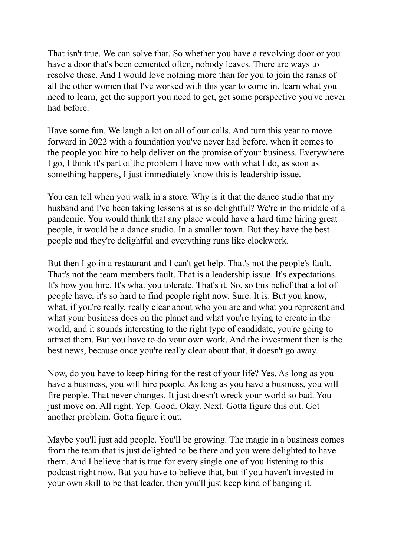That isn't true. We can solve that. So whether you have a revolving door or you have a door that's been cemented often, nobody leaves. There are ways to resolve these. And I would love nothing more than for you to join the ranks of all the other women that I've worked with this year to come in, learn what you need to learn, get the support you need to get, get some perspective you've never had before.

Have some fun. We laugh a lot on all of our calls. And turn this year to move forward in 2022 with a foundation you've never had before, when it comes to the people you hire to help deliver on the promise of your business. Everywhere I go, I think it's part of the problem I have now with what I do, as soon as something happens, I just immediately know this is leadership issue.

You can tell when you walk in a store. Why is it that the dance studio that my husband and I've been taking lessons at is so delightful? We're in the middle of a pandemic. You would think that any place would have a hard time hiring great people, it would be a dance studio. In a smaller town. But they have the best people and they're delightful and everything runs like clockwork.

But then I go in a restaurant and I can't get help. That's not the people's fault. That's not the team members fault. That is a leadership issue. It's expectations. It's how you hire. It's what you tolerate. That's it. So, so this belief that a lot of people have, it's so hard to find people right now. Sure. It is. But you know, what, if you're really, really clear about who you are and what you represent and what your business does on the planet and what you're trying to create in the world, and it sounds interesting to the right type of candidate, you're going to attract them. But you have to do your own work. And the investment then is the best news, because once you're really clear about that, it doesn't go away.

Now, do you have to keep hiring for the rest of your life? Yes. As long as you have a business, you will hire people. As long as you have a business, you will fire people. That never changes. It just doesn't wreck your world so bad. You just move on. All right. Yep. Good. Okay. Next. Gotta figure this out. Got another problem. Gotta figure it out.

Maybe you'll just add people. You'll be growing. The magic in a business comes from the team that is just delighted to be there and you were delighted to have them. And I believe that is true for every single one of you listening to this podcast right now. But you have to believe that, but if you haven't invested in your own skill to be that leader, then you'll just keep kind of banging it.